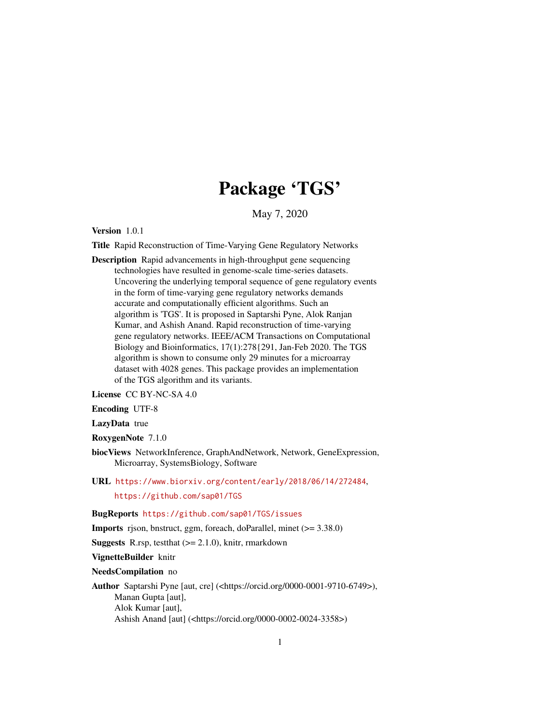# Package 'TGS'

May 7, 2020

Version 1.0.1

Title Rapid Reconstruction of Time-Varying Gene Regulatory Networks

Description Rapid advancements in high-throughput gene sequencing technologies have resulted in genome-scale time-series datasets. Uncovering the underlying temporal sequence of gene regulatory events in the form of time-varying gene regulatory networks demands accurate and computationally efficient algorithms. Such an algorithm is 'TGS'. It is proposed in Saptarshi Pyne, Alok Ranjan Kumar, and Ashish Anand. Rapid reconstruction of time-varying gene regulatory networks. IEEE/ACM Transactions on Computational Biology and Bioinformatics, 17(1):278{291, Jan-Feb 2020. The TGS algorithm is shown to consume only 29 minutes for a microarray dataset with 4028 genes. This package provides an implementation of the TGS algorithm and its variants.

License CC BY-NC-SA 4.0

Encoding UTF-8

LazyData true

RoxygenNote 7.1.0

- biocViews NetworkInference, GraphAndNetwork, Network, GeneExpression, Microarray, SystemsBiology, Software
- URL <https://www.biorxiv.org/content/early/2018/06/14/272484>, <https://github.com/sap01/TGS>

BugReports <https://github.com/sap01/TGS/issues>

Imports rjson, bnstruct, ggm, foreach, doParallel, minet (>= 3.38.0)

**Suggests** R.rsp, test that  $(>= 2.1.0)$ , knitr, rmarkdown

VignetteBuilder knitr

NeedsCompilation no

Author Saptarshi Pyne [aut, cre] (<https://orcid.org/0000-0001-9710-6749>), Manan Gupta [aut], Alok Kumar [aut], Ashish Anand [aut] (<https://orcid.org/0000-0002-0024-3358>)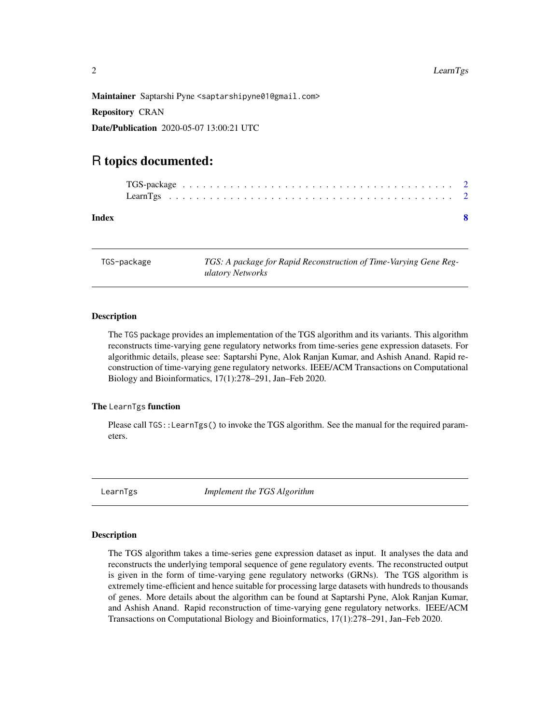<span id="page-1-0"></span>

Maintainer Saptarshi Pyne <saptarshipyne01@gmail.com>

Repository CRAN

Date/Publication 2020-05-07 13:00:21 UTC

# R topics documented:

| Index |  |  |  |  |  |  |  |  |  |  |  |  |  |  |  |  |  |
|-------|--|--|--|--|--|--|--|--|--|--|--|--|--|--|--|--|--|

TGS-package *TGS: A package for Rapid Reconstruction of Time-Varying Gene Regulatory Networks*

## Description

The TGS package provides an implementation of the TGS algorithm and its variants. This algorithm reconstructs time-varying gene regulatory networks from time-series gene expression datasets. For algorithmic details, please see: Saptarshi Pyne, Alok Ranjan Kumar, and Ashish Anand. Rapid reconstruction of time-varying gene regulatory networks. IEEE/ACM Transactions on Computational Biology and Bioinformatics, 17(1):278–291, Jan–Feb 2020.

# The LearnTgs function

Please call TGS::LearnTgs() to invoke the TGS algorithm. See the manual for the required parameters.

LearnTgs *Implement the TGS Algorithm*

## Description

The TGS algorithm takes a time-series gene expression dataset as input. It analyses the data and reconstructs the underlying temporal sequence of gene regulatory events. The reconstructed output is given in the form of time-varying gene regulatory networks (GRNs). The TGS algorithm is extremely time-efficient and hence suitable for processing large datasets with hundreds to thousands of genes. More details about the algorithm can be found at Saptarshi Pyne, Alok Ranjan Kumar, and Ashish Anand. Rapid reconstruction of time-varying gene regulatory networks. IEEE/ACM Transactions on Computational Biology and Bioinformatics, 17(1):278–291, Jan–Feb 2020.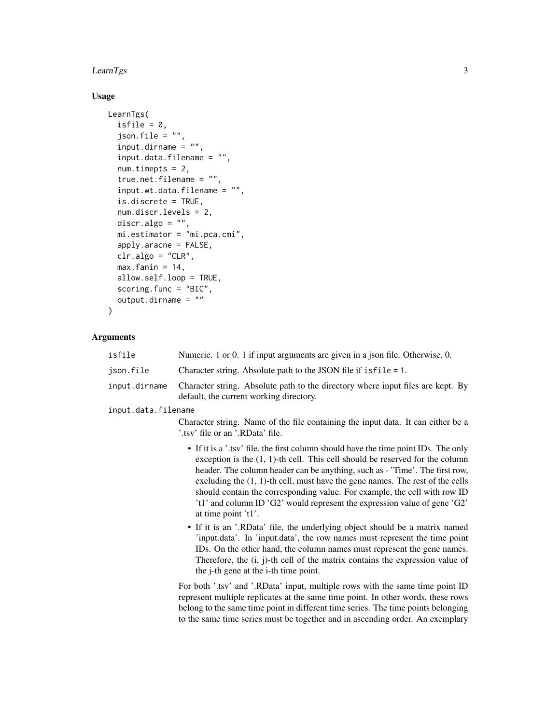#### $LearnTgs$  3

# Usage

```
LearnTgs(
  isfile = 0,
  json.file = ",
  \sum_{i=1}^{n} input.dirname = "",
  input.data.filename = "",
  num.timepts = 2,
  true.net.filename = "",
  input.wt.data.filename = "",
  is.discrete = TRUE,
  num.discr.levels = 2,
  discr.algo = ",
  mi.estimator = "mi.pca.cmi",
  apply.aracne = FALSE,
  clr.algo = "CLR",
  max.findin = 14,allow.self.loop = TRUE,
  scoring.func = "BIC",
  output.dirname = ""
)
```
# Arguments

| isfile              | Numeric. 1 or 0. 1 if input arguments are given in a json file. Otherwise, 0.                                                                                                                                                                                                                                                                                                                                                                                                                                                |
|---------------------|------------------------------------------------------------------------------------------------------------------------------------------------------------------------------------------------------------------------------------------------------------------------------------------------------------------------------------------------------------------------------------------------------------------------------------------------------------------------------------------------------------------------------|
| json.file           | Character string. Absolute path to the JSON file if is file = 1.                                                                                                                                                                                                                                                                                                                                                                                                                                                             |
| input.dirname       | Character string. Absolute path to the directory where input files are kept. By<br>default, the current working directory.                                                                                                                                                                                                                                                                                                                                                                                                   |
| input.data.filename |                                                                                                                                                                                                                                                                                                                                                                                                                                                                                                                              |
|                     | Character string. Name of the file containing the input data. It can either be a<br>'.tsv' file or an '.RData' file.                                                                                                                                                                                                                                                                                                                                                                                                         |
|                     | • If it is a '.tsv' file, the first column should have the time point IDs. The only<br>exception is the $(1, 1)$ -th cell. This cell should be reserved for the column<br>header. The column header can be anything, such as - 'Time'. The first row,<br>excluding the $(1, 1)$ -th cell, must have the gene names. The rest of the cells<br>should contain the corresponding value. For example, the cell with row ID<br>'t1' and column ID 'G2' would represent the expression value of gene 'G2'<br>at time point $'t1'.$ |
|                     | • If it is an '.RData' file, the underlying object should be a matrix named<br>'input.data'. In 'input.data', the row names must represent the time point<br>IDs. On the other hand, the column names must represent the gene names.<br>Therefore, the $(i, j)$ -th cell of the matrix contains the expression value of<br>the j-th gene at the i-th time point.                                                                                                                                                             |
|                     | For both '.tsv' and '.RData' input, multiple rows with the same time point ID<br>represent multiple replicates at the same time point. In other words, these rows<br>belong to the same time point in different time series. The time points belonging<br>to the same time series must be together and in ascending order. An exemplary                                                                                                                                                                                      |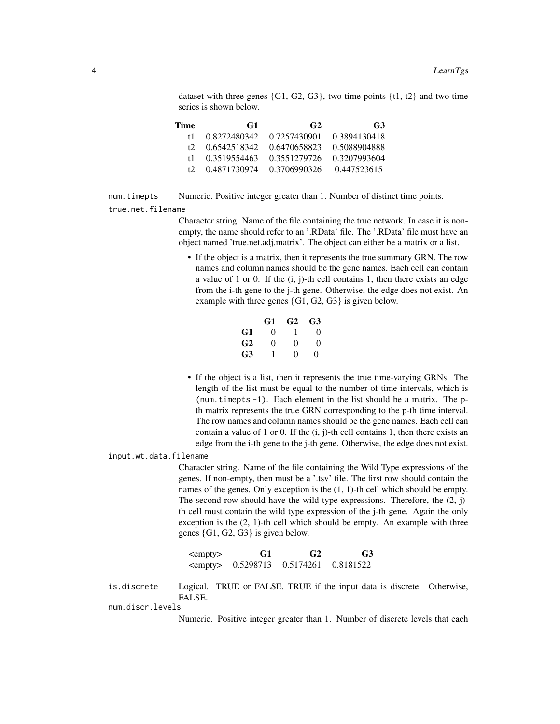dataset with three genes  $\{G1, G2, G3\}$ , two time points  $\{t1, t2\}$  and two time series is shown below.

| Time | G <sub>1</sub> | G <sub>2</sub> | G3           |
|------|----------------|----------------|--------------|
| t 1  | 0.8272480342   | 0.7257430901   | 0.3894130418 |
| t2.  | 0.6542518342   | 0.6470658823   | 0.5088904888 |
| t 1  | 0.3519554463   | 0.3551279726   | 0.3207993604 |
| t2.  | 0.4871730974   | 0.3706990326   | 0.447523615  |

num.timepts Numeric. Positive integer greater than 1. Number of distinct time points. true.net.filename

> Character string. Name of the file containing the true network. In case it is nonempty, the name should refer to an '.RData' file. The '.RData' file must have an object named 'true.net.adj.matrix'. The object can either be a matrix or a list.

• If the object is a matrix, then it represents the true summary GRN. The row names and column names should be the gene names. Each cell can contain a value of 1 or 0. If the (i, j)-th cell contains 1, then there exists an edge from the i-th gene to the j-th gene. Otherwise, the edge does not exist. An example with three genes {G1, G2, G3} is given below.

|                | G1       | G <sub>2</sub> | G3       |
|----------------|----------|----------------|----------|
| G1             | $\Omega$ | 1              | $\Omega$ |
| G <sub>2</sub> | 0        | 0              | 0        |
| G3             | 1        | 0              | 0        |

• If the object is a list, then it represents the true time-varying GRNs. The length of the list must be equal to the number of time intervals, which is (num.timepts -1). Each element in the list should be a matrix. The pth matrix represents the true GRN corresponding to the p-th time interval. The row names and column names should be the gene names. Each cell can contain a value of 1 or 0. If the  $(i, j)$ -th cell contains 1, then there exists an edge from the i-th gene to the j-th gene. Otherwise, the edge does not exist.

input.wt.data.filename

Character string. Name of the file containing the Wild Type expressions of the genes. If non-empty, then must be a '.tsv' file. The first row should contain the names of the genes. Only exception is the (1, 1)-th cell which should be empty. The second row should have the wild type expressions. Therefore, the (2, j) th cell must contain the wild type expression of the j-th gene. Again the only exception is the (2, 1)-th cell which should be empty. An example with three genes {G1, G2, G3} is given below.

| <empty></empty> | G1 | G <sub>2</sub>        | G <sub>3</sub> |
|-----------------|----|-----------------------|----------------|
| <empty></empty> |    | 0.5298713   0.5174261 | 0.8181522      |

is.discrete Logical. TRUE or FALSE. TRUE if the input data is discrete. Otherwise, FALSE.

num.discr.levels

Numeric. Positive integer greater than 1. Number of discrete levels that each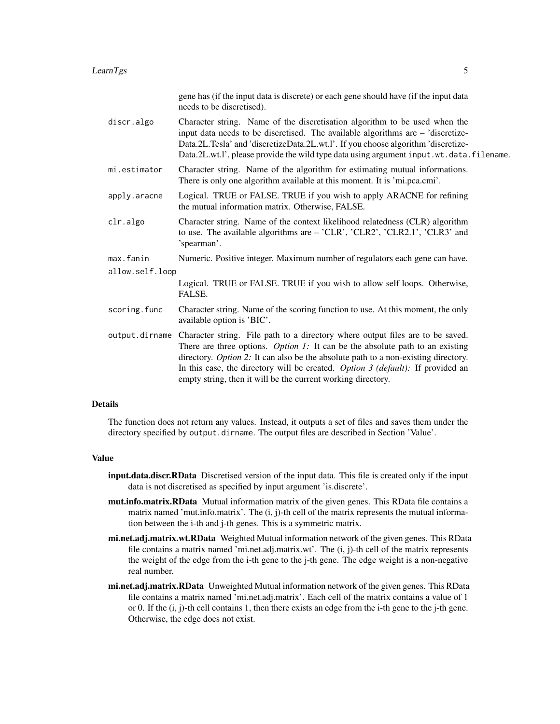#### $\mu$  LearnTgs 5

| Character string. Name of the discretisation algorithm to be used when the<br>discr.algo<br>input data needs to be discretised. The available algorithms are - 'discretize-<br>Data.2L.Tesla' and 'discretizeData.2L.wt.l'. If you choose algorithm 'discretize-<br>Character string. Name of the algorithm for estimating mutual informations.<br>mi.estimator<br>There is only one algorithm available at this moment. It is 'mi.pca.cmi'.<br>Logical. TRUE or FALSE. TRUE if you wish to apply ARACNE for refining<br>apply.aracne<br>the mutual information matrix. Otherwise, FALSE.<br>Character string. Name of the context likelihood relatedness (CLR) algorithm<br>clr.algo<br>to use. The available algorithms are - 'CLR', 'CLR2', 'CLR2.1', 'CLR3' and<br>'spearman'.<br>max.fanin<br>Numeric. Positive integer. Maximum number of regulators each gene can have.<br>allow.self.loop<br>Logical. TRUE or FALSE. TRUE if you wish to allow self loops. Otherwise,<br>FALSE.<br>scoring.func<br>Character string. Name of the scoring function to use. At this moment, the only<br>available option is 'BIC'.<br>output dirname Character string. File path to a directory where output files are to be saved.<br>There are three options. <i>Option 1</i> : It can be the absolute path to an existing<br>directory. Option 2: It can also be the absolute path to a non-existing directory.<br>In this case, the directory will be created. Option $\beta$ (default): If provided an |  | gene has (if the input data is discrete) or each gene should have (if the input data<br>needs to be discretised). |
|---------------------------------------------------------------------------------------------------------------------------------------------------------------------------------------------------------------------------------------------------------------------------------------------------------------------------------------------------------------------------------------------------------------------------------------------------------------------------------------------------------------------------------------------------------------------------------------------------------------------------------------------------------------------------------------------------------------------------------------------------------------------------------------------------------------------------------------------------------------------------------------------------------------------------------------------------------------------------------------------------------------------------------------------------------------------------------------------------------------------------------------------------------------------------------------------------------------------------------------------------------------------------------------------------------------------------------------------------------------------------------------------------------------------------------------------------------------------------------------------------|--|-------------------------------------------------------------------------------------------------------------------|
|                                                                                                                                                                                                                                                                                                                                                                                                                                                                                                                                                                                                                                                                                                                                                                                                                                                                                                                                                                                                                                                                                                                                                                                                                                                                                                                                                                                                                                                                                                   |  | Data.2L.wt.l', please provide the wild type data using argument input.wt.data.filename.                           |
|                                                                                                                                                                                                                                                                                                                                                                                                                                                                                                                                                                                                                                                                                                                                                                                                                                                                                                                                                                                                                                                                                                                                                                                                                                                                                                                                                                                                                                                                                                   |  |                                                                                                                   |
|                                                                                                                                                                                                                                                                                                                                                                                                                                                                                                                                                                                                                                                                                                                                                                                                                                                                                                                                                                                                                                                                                                                                                                                                                                                                                                                                                                                                                                                                                                   |  |                                                                                                                   |
|                                                                                                                                                                                                                                                                                                                                                                                                                                                                                                                                                                                                                                                                                                                                                                                                                                                                                                                                                                                                                                                                                                                                                                                                                                                                                                                                                                                                                                                                                                   |  |                                                                                                                   |
|                                                                                                                                                                                                                                                                                                                                                                                                                                                                                                                                                                                                                                                                                                                                                                                                                                                                                                                                                                                                                                                                                                                                                                                                                                                                                                                                                                                                                                                                                                   |  |                                                                                                                   |
|                                                                                                                                                                                                                                                                                                                                                                                                                                                                                                                                                                                                                                                                                                                                                                                                                                                                                                                                                                                                                                                                                                                                                                                                                                                                                                                                                                                                                                                                                                   |  |                                                                                                                   |
|                                                                                                                                                                                                                                                                                                                                                                                                                                                                                                                                                                                                                                                                                                                                                                                                                                                                                                                                                                                                                                                                                                                                                                                                                                                                                                                                                                                                                                                                                                   |  |                                                                                                                   |
|                                                                                                                                                                                                                                                                                                                                                                                                                                                                                                                                                                                                                                                                                                                                                                                                                                                                                                                                                                                                                                                                                                                                                                                                                                                                                                                                                                                                                                                                                                   |  |                                                                                                                   |
|                                                                                                                                                                                                                                                                                                                                                                                                                                                                                                                                                                                                                                                                                                                                                                                                                                                                                                                                                                                                                                                                                                                                                                                                                                                                                                                                                                                                                                                                                                   |  | empty string, then it will be the current working directory.                                                      |

#### Details

The function does not return any values. Instead, it outputs a set of files and saves them under the directory specified by output.dirname. The output files are described in Section 'Value'.

#### Value

- input.data.discr.RData Discretised version of the input data. This file is created only if the input data is not discretised as specified by input argument 'is.discrete'.
- mut.info.matrix.RData Mutual information matrix of the given genes. This RData file contains a matrix named 'mut.info.matrix'. The (i, j)-th cell of the matrix represents the mutual information between the i-th and j-th genes. This is a symmetric matrix.
- mi.net.adj.matrix.wt.RData Weighted Mutual information network of the given genes. This RData file contains a matrix named 'mi.net.adj.matrix.wt'. The (i, j)-th cell of the matrix represents the weight of the edge from the i-th gene to the j-th gene. The edge weight is a non-negative real number.
- mi.net.adj.matrix.RData Unweighted Mutual information network of the given genes. This RData file contains a matrix named 'mi.net.adj.matrix'. Each cell of the matrix contains a value of 1 or 0. If the (i, j)-th cell contains 1, then there exists an edge from the i-th gene to the j-th gene. Otherwise, the edge does not exist.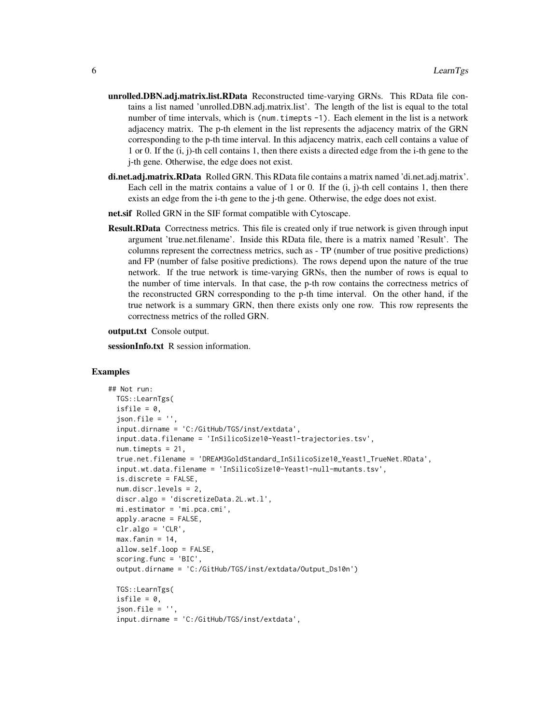- unrolled.DBN.adj.matrix.list.RData Reconstructed time-varying GRNs. This RData file contains a list named 'unrolled.DBN.adj.matrix.list'. The length of the list is equal to the total number of time intervals, which is (num.timepts -1). Each element in the list is a network adjacency matrix. The p-th element in the list represents the adjacency matrix of the GRN corresponding to the p-th time interval. In this adjacency matrix, each cell contains a value of 1 or 0. If the (i, j)-th cell contains 1, then there exists a directed edge from the i-th gene to the j-th gene. Otherwise, the edge does not exist.
- di.net.adj.matrix.RData Rolled GRN. This RData file contains a matrix named 'di.net.adj.matrix'. Each cell in the matrix contains a value of 1 or 0. If the  $(i, j)$ -th cell contains 1, then there exists an edge from the i-th gene to the j-th gene. Otherwise, the edge does not exist.
- net.sif Rolled GRN in the SIF format compatible with Cytoscape.
- **Result.RData** Correctness metrics. This file is created only if true network is given through input argument 'true.net.filename'. Inside this RData file, there is a matrix named 'Result'. The columns represent the correctness metrics, such as - TP (number of true positive predictions) and FP (number of false positive predictions). The rows depend upon the nature of the true network. If the true network is time-varying GRNs, then the number of rows is equal to the number of time intervals. In that case, the p-th row contains the correctness metrics of the reconstructed GRN corresponding to the p-th time interval. On the other hand, if the true network is a summary GRN, then there exists only one row. This row represents the correctness metrics of the rolled GRN.

output.txt Console output.

sessionInfo.txt R session information.

#### Examples

```
## Not run:
 TGS::LearnTgs(
 isfile = 0,
 json.file = '',
 input.dirname = 'C:/GitHub/TGS/inst/extdata',
 input.data.filename = 'InSilicoSize10-Yeast1-trajectories.tsv',
 num.timepts = 21,
 true.net.filename = 'DREAM3GoldStandard_InSilicoSize10_Yeast1_TrueNet.RData',
 input.wt.data.filename = 'InSilicoSize10-Yeast1-null-mutants.tsv',
 is.discrete = FALSE,
 num.discr.levels = 2,
 discr.algo = 'discretizeData.2L.wt.l',
 mi.estimator = 'mi.pca.cmi',
 apply.aracne = FALSE,
 clr.algo = 'CLR',
 max.findin = 14,
 allow.self.loop = FALSE,
 scoring.func = 'BIC',
 output.dirname = 'C:/GitHub/TGS/inst/extdata/Output_Ds10n')
 TGS::LearnTgs(
 isfile = 0,
 json.file = ''input.dirname = 'C:/GitHub/TGS/inst/extdata',
```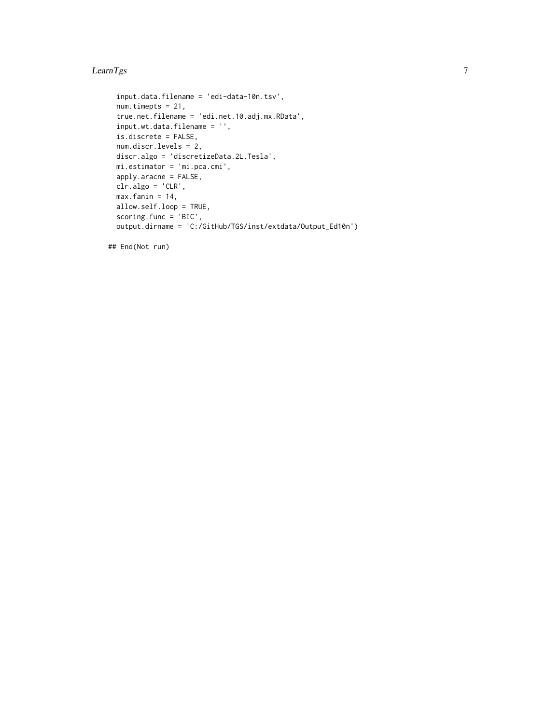#### $\mu$  LearnTgs 7

```
input.data.filename = 'edi-data-10n.tsv',
num.timepts = 21,
true.net.filename = 'edi.net.10.adj.mx.RData',
input.wt.data.filename = '',
is.discrete = FALSE,
num.discr.levels = 2,
discr.algo = 'discretizeData.2L.Tesla',
mi.estimator = 'mi.pca.cmi',
apply.aracne = FALSE,
clr.algo = 'CLR',
max.find = 14,
allow.self.loop = TRUE,
scoring.func = 'BIC',
output.dirname = 'C:/GitHub/TGS/inst/extdata/Output_Ed10n')
```
## End(Not run)